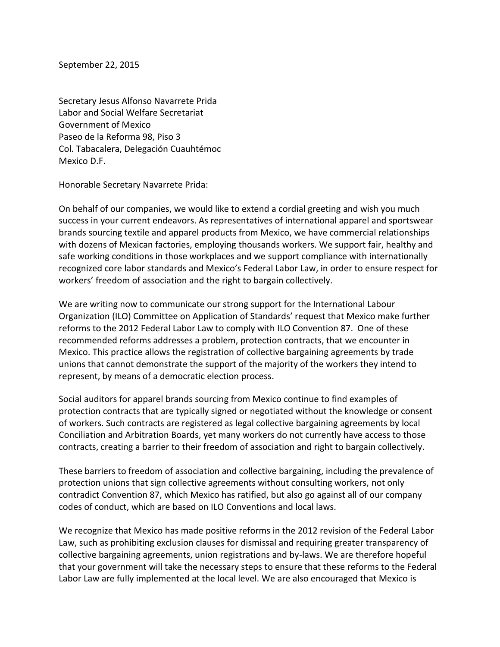September 22, 2015

Secretary Jesus Alfonso Navarrete Prida Labor and Social Welfare Secretariat Government of Mexico Paseo de la Reforma 98, Piso 3 Col. Tabacalera, Delegación Cuauhtémoc Mexico D.F.

Honorable Secretary Navarrete Prida:

On behalf of our companies, we would like to extend a cordial greeting and wish you much success in your current endeavors. As representatives of international apparel and sportswear brands sourcing textile and apparel products from Mexico, we have commercial relationships with dozens of Mexican factories, employing thousands workers. We support fair, healthy and safe working conditions in those workplaces and we support compliance with internationally recognized core labor standards and Mexico's Federal Labor Law, in order to ensure respect for workers' freedom of association and the right to bargain collectively.

We are writing now to communicate our strong support for the International Labour Organization (ILO) Committee on Application of Standards' request that Mexico make further reforms to the 2012 Federal Labor Law to comply with ILO Convention 87. One of these recommended reforms addresses a problem, protection contracts, that we encounter in Mexico. This practice allows the registration of collective bargaining agreements by trade unions that cannot demonstrate the support of the majority of the workers they intend to represent, by means of a democratic election process.

Social auditors for apparel brands sourcing from Mexico continue to find examples of protection contracts that are typically signed or negotiated without the knowledge or consent of workers. Such contracts are registered as legal collective bargaining agreements by local Conciliation and Arbitration Boards, yet many workers do not currently have access to those contracts, creating a barrier to their freedom of association and right to bargain collectively.

These barriers to freedom of association and collective bargaining, including the prevalence of protection unions that sign collective agreements without consulting workers, not only contradict Convention 87, which Mexico has ratified, but also go against all of our company codes of conduct, which are based on ILO Conventions and local laws.

We recognize that Mexico has made positive reforms in the 2012 revision of the Federal Labor Law, such as prohibiting exclusion clauses for dismissal and requiring greater transparency of collective bargaining agreements, union registrations and by-laws. We are therefore hopeful that your government will take the necessary steps to ensure that these reforms to the Federal Labor Law are fully implemented at the local level. We are also encouraged that Mexico is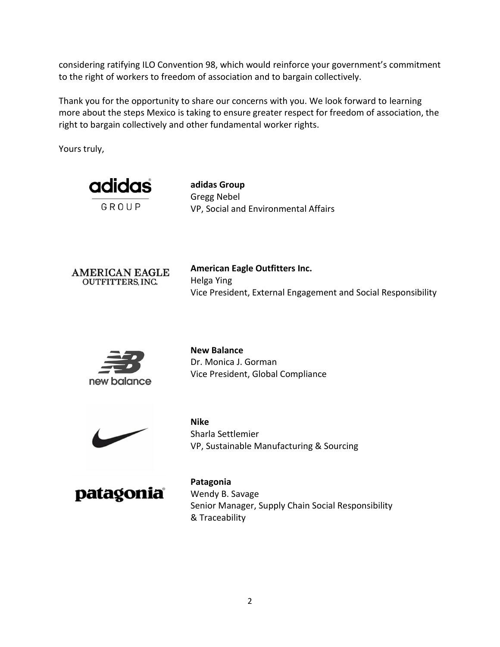considering ratifying ILO Convention 98, which would reinforce your government's commitment to the right of workers to freedom of association and to bargain collectively.

Thank you for the opportunity to share our concerns with you. We look forward to learning more about the steps Mexico is taking to ensure greater respect for freedom of association, the right to bargain collectively and other fundamental worker rights.

Yours truly,



**adidas Group** Gregg Nebel VP, Social and Environmental Affairs



**American Eagle Outfitters Inc.** Helga Ying Vice President, External Engagement and Social Responsibility



**New Balance** Dr. Monica J. Gorman Vice President, Global Compliance



**Nike** Sharla Settlemier VP, Sustainable Manufacturing & Sourcing



**Patagonia** Wendy B. Savage Senior Manager, Supply Chain Social Responsibility & Traceability